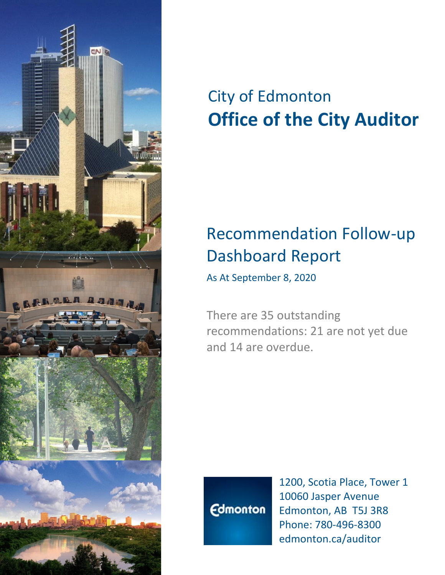

# City of Edmonton **Office of the City Auditor**

## Recommendation Follow-up Dashboard Report

As At September 8, 2020

There are 35 outstanding recommendations: 21 are not yet due and 14 are overdue.



1200, Scotia Place, Tower 1 10060 Jasper Avenue Edmonton, AB T5J 3R8 Phone: 780-496-8300 edmonton.ca/auditor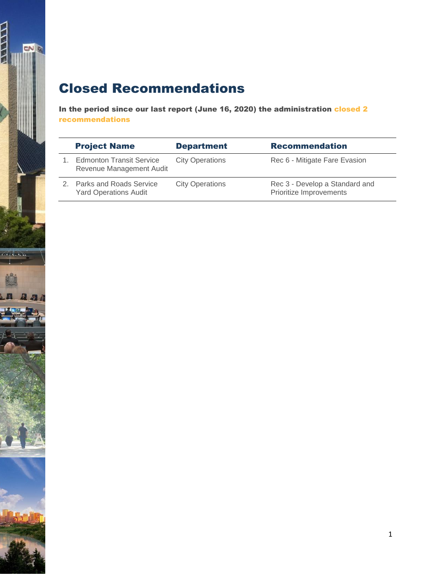### Closed Recommendations

 $\frac{1}{2}$ 

reserve to the

 $\mathbf{a}$  and

In the period since our last report (June 16, 2020) the administration closed 2 recommendations

| <b>Project Name</b>                                         | <b>Department</b>      | <b>Recommendation</b>                                     |
|-------------------------------------------------------------|------------------------|-----------------------------------------------------------|
| <b>Edmonton Transit Service</b><br>Revenue Management Audit | <b>City Operations</b> | Rec 6 - Mitigate Fare Evasion                             |
| 2. Parks and Roads Service<br><b>Yard Operations Audit</b>  | <b>City Operations</b> | Rec 3 - Develop a Standard and<br>Prioritize Improvements |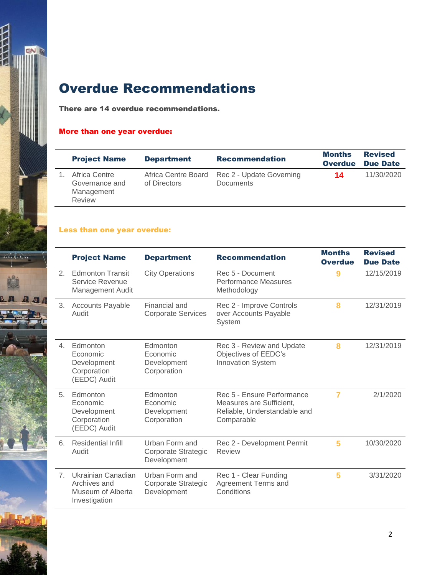

## Overdue Recommendations

There are 14 overdue recommendations.

#### More than one year overdue:

| <b>Project Name</b>                                     | <b>Department</b>                   | <b>Recommendation</b>                        | <b>Months</b><br><b>Overdue</b> | <b>Revised</b><br><b>Due Date</b> |
|---------------------------------------------------------|-------------------------------------|----------------------------------------------|---------------------------------|-----------------------------------|
| Africa Centre<br>Governance and<br>Management<br>Review | Africa Centre Board<br>of Directors | Rec 2 - Update Governing<br><b>Documents</b> | 14                              | 11/30/2020                        |

#### Less than one year overdue:

|                | <b>Project Name</b>                                                      | <b>Department</b>                                    | <b>Recommendation</b>                                                                                | <b>Months</b><br><b>Overdue</b> | <b>Revised</b><br><b>Due Date</b> |
|----------------|--------------------------------------------------------------------------|------------------------------------------------------|------------------------------------------------------------------------------------------------------|---------------------------------|-----------------------------------|
| 2 <sup>1</sup> | <b>Edmonton Transit</b><br>Service Revenue<br>Management Audit           | <b>City Operations</b>                               | Rec 5 - Document<br><b>Performance Measures</b><br>Methodology                                       | 9                               | 12/15/2019                        |
| 3.             | <b>Accounts Payable</b><br>Audit                                         | Financial and<br><b>Corporate Services</b>           | Rec 2 - Improve Controls<br>over Accounts Payable<br>System                                          | 8                               | 12/31/2019                        |
| $\overline{4}$ | Edmonton<br>Economic<br>Development<br>Corporation<br>(EEDC) Audit       | Edmonton<br>Economic<br>Development<br>Corporation   | Rec 3 - Review and Update<br>Objectives of EEDC's<br><b>Innovation System</b>                        | 8                               | 12/31/2019                        |
| $5^{\circ}$    | Edmonton<br>Economic<br>Development<br>Corporation<br>(EEDC) Audit       | Edmonton<br>Economic<br>Development<br>Corporation   | Rec 5 - Ensure Performance<br>Measures are Sufficient,<br>Reliable, Understandable and<br>Comparable | $\overline{7}$                  | 2/1/2020                          |
| 6.             | Residential Infill<br>Audit                                              | Urban Form and<br>Corporate Strategic<br>Development | Rec 2 - Development Permit<br>Review                                                                 | 5                               | 10/30/2020                        |
| 7 <sub>1</sub> | Ukrainian Canadian<br>Archives and<br>Museum of Alberta<br>Investigation | Urban Form and<br>Corporate Strategic<br>Development | Rec 1 - Clear Funding<br>Agreement Terms and<br>Conditions                                           | 5                               | 3/31/2020                         |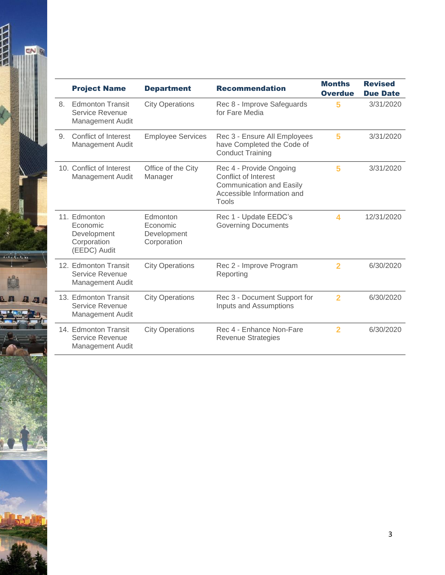

|    | <b>Project Name</b>                                                       | <b>Department</b>                                  | <b>Recommendation</b>                                                                                                     | <b>Months</b><br><b>Overdue</b> | <b>Revised</b><br><b>Due Date</b> |
|----|---------------------------------------------------------------------------|----------------------------------------------------|---------------------------------------------------------------------------------------------------------------------------|---------------------------------|-----------------------------------|
| 8. | <b>Edmonton Transit</b><br>Service Revenue<br>Management Audit            | <b>City Operations</b>                             | Rec 8 - Improve Safeguards<br>for Fare Media                                                                              | 5                               | 3/31/2020                         |
| 9. | Conflict of Interest<br>Management Audit                                  | <b>Employee Services</b>                           | Rec 3 - Ensure All Employees<br>have Completed the Code of<br><b>Conduct Training</b>                                     | 5                               | 3/31/2020                         |
|    | 10. Conflict of Interest<br><b>Management Audit</b>                       | Office of the City<br>Manager                      | Rec 4 - Provide Ongoing<br>Conflict of Interest<br><b>Communication and Easily</b><br>Accessible Information and<br>Tools | 5                               | 3/31/2020                         |
|    | 11. Edmonton<br>Economic<br>Development<br>Corporation<br>(EEDC) Audit    | Edmonton<br>Economic<br>Development<br>Corporation | Rec 1 - Update EEDC's<br><b>Governing Documents</b>                                                                       | 4                               | 12/31/2020                        |
|    | 12. Edmonton Transit<br>Service Revenue<br>Management Audit               | <b>City Operations</b>                             | Rec 2 - Improve Program<br>Reporting                                                                                      | 2                               | 6/30/2020                         |
|    | 13. Edmonton Transit<br><b>Service Revenue</b><br><b>Management Audit</b> | <b>City Operations</b>                             | Rec 3 - Document Support for<br>Inputs and Assumptions                                                                    | $\overline{2}$                  | 6/30/2020                         |
|    | 14. Edmonton Transit<br>Service Revenue<br><b>Management Audit</b>        | <b>City Operations</b>                             | Rec 4 - Enhance Non-Fare<br><b>Revenue Strategies</b>                                                                     | $\overline{2}$                  | 6/30/2020                         |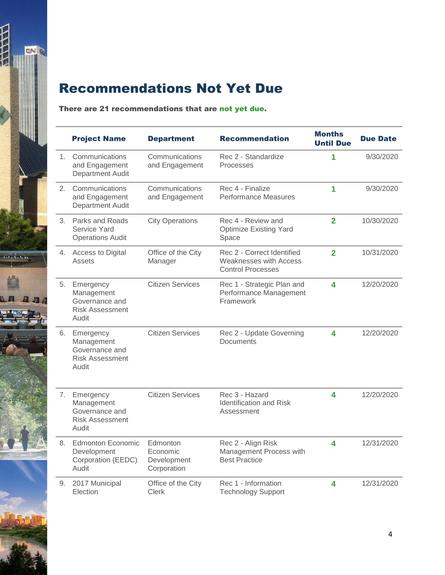

## Recommendations Not Yet Due

#### There are 21 recommendations that are not yet due.

|                | <b>Project Name</b>                                                             | <b>Department</b>                                  | <b>Recommendation</b>                                                                   | <b>Months</b><br><b>Until Due</b> | <b>Due Date</b> |
|----------------|---------------------------------------------------------------------------------|----------------------------------------------------|-----------------------------------------------------------------------------------------|-----------------------------------|-----------------|
| 1 <sup>1</sup> | Communications<br>and Engagement<br><b>Department Audit</b>                     | Communications<br>and Engagement                   | Rec 2 - Standardize<br>Processes                                                        | 1                                 | 9/30/2020       |
| 2.             | Communications<br>and Engagement<br><b>Department Audit</b>                     | Communications<br>and Engagement                   | Rec 4 - Finalize<br><b>Performance Measures</b>                                         | 1                                 | 9/30/2020       |
| 3.             | Parks and Roads<br>Service Yard<br><b>Operations Audit</b>                      | <b>City Operations</b>                             | Rec 4 - Review and<br><b>Optimize Existing Yard</b><br>Space                            | $\overline{2}$                    | 10/30/2020      |
|                | 4. Access to Digital<br><b>Assets</b>                                           | Office of the City<br>Manager                      | Rec 2 - Correct Identified<br><b>Weaknesses with Access</b><br><b>Control Processes</b> | $\overline{2}$                    | 10/31/2020      |
| 5.             | Emergency<br>Management<br>Governance and<br><b>Risk Assessment</b><br>Audit    | <b>Citizen Services</b>                            | Rec 1 - Strategic Plan and<br>Performance Management<br>Framework                       | $\overline{\mathbf{4}}$           | 12/20/2020      |
|                | 6. Emergency<br>Management<br>Governance and<br><b>Risk Assessment</b><br>Audit | <b>Citizen Services</b>                            | Rec 2 - Update Governing<br>Documents                                                   | 4                                 | 12/20/2020      |
| 7.             | Emergency<br>Management<br>Governance and<br><b>Risk Assessment</b><br>Audit    | <b>Citizen Services</b>                            | Rec 3 - Hazard<br><b>Identification and Risk</b><br>Assessment                          | 4                                 | 12/20/2020      |
|                | 8. Edmonton Economic<br>Development<br>Corporation (EEDC)<br>Audit              | Edmonton<br>Economic<br>Development<br>Corporation | Rec 2 - Align Risk<br>Management Process with<br><b>Best Practice</b>                   | 4                                 | 12/31/2020      |
| 9.             | 2017 Municipal<br>Election                                                      | Office of the City<br><b>Clerk</b>                 | Rec 1 - Information<br><b>Technology Support</b>                                        | 4                                 | 12/31/2020      |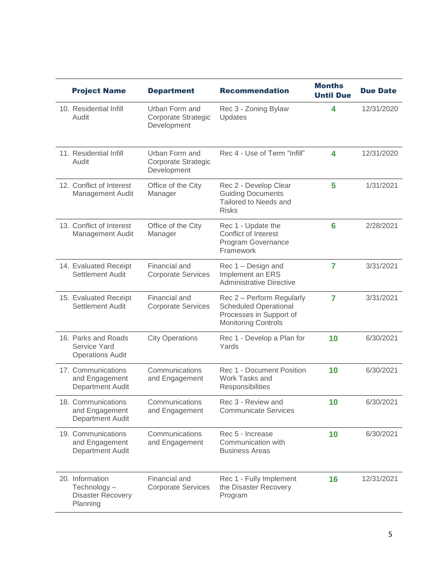| <b>Project Name</b>                                                    | <b>Department</b>                                    | <b>Recommendation</b>                                                                                              | <b>Months</b><br><b>Until Due</b> | <b>Due Date</b> |
|------------------------------------------------------------------------|------------------------------------------------------|--------------------------------------------------------------------------------------------------------------------|-----------------------------------|-----------------|
| 10. Residential Infill<br>Audit                                        | Urban Form and<br>Corporate Strategic<br>Development | Rec 3 - Zoning Bylaw<br>Updates                                                                                    | 4                                 | 12/31/2020      |
| 11. Residential Infill<br>Audit                                        | Urban Form and<br>Corporate Strategic<br>Development | Rec 4 - Use of Term "Infill"                                                                                       | 4                                 | 12/31/2020      |
| 12. Conflict of Interest<br><b>Management Audit</b>                    | Office of the City<br>Manager                        | Rec 2 - Develop Clear<br><b>Guiding Documents</b><br>Tailored to Needs and<br><b>Risks</b>                         | 5                                 | 1/31/2021       |
| 13. Conflict of Interest<br><b>Management Audit</b>                    | Office of the City<br>Manager                        | Rec 1 - Update the<br>Conflict of Interest<br>Program Governance<br>Framework                                      | 6                                 | 2/28/2021       |
| 14. Evaluated Receipt<br>Settlement Audit                              | Financial and<br><b>Corporate Services</b>           | Rec 1 - Design and<br>Implement an ERS<br><b>Administrative Directive</b>                                          | $\overline{7}$                    | 3/31/2021       |
| 15. Evaluated Receipt<br>Settlement Audit                              | Financial and<br><b>Corporate Services</b>           | Rec 2 - Perform Regularly<br><b>Scheduled Operational</b><br>Processes in Support of<br><b>Monitoring Controls</b> | $\overline{7}$                    | 3/31/2021       |
| 16. Parks and Roads<br><b>Service Yard</b><br><b>Operations Audit</b>  | <b>City Operations</b>                               | Rec 1 - Develop a Plan for<br>Yards                                                                                | 10                                | 6/30/2021       |
| 17. Communications<br>and Engagement<br><b>Department Audit</b>        | Communications<br>and Engagement                     | <b>Rec 1 - Document Position</b><br>Work Tasks and<br>Responsibilities                                             | 10                                | 6/30/2021       |
| 18. Communications<br>and Engagement<br><b>Department Audit</b>        | Communications<br>and Engagement                     | Rec 3 - Review and<br><b>Communicate Services</b>                                                                  | 10                                | 6/30/2021       |
| 19. Communications<br>and Engagement<br><b>Department Audit</b>        | Communications<br>and Engagement                     | Rec 5 - Increase<br>Communication with<br><b>Business Areas</b>                                                    | 10                                | 6/30/2021       |
| 20. Information<br>Technology-<br><b>Disaster Recovery</b><br>Planning | Financial and<br><b>Corporate Services</b>           | Rec 1 - Fully Implement<br>the Disaster Recovery<br>Program                                                        | 16                                | 12/31/2021      |